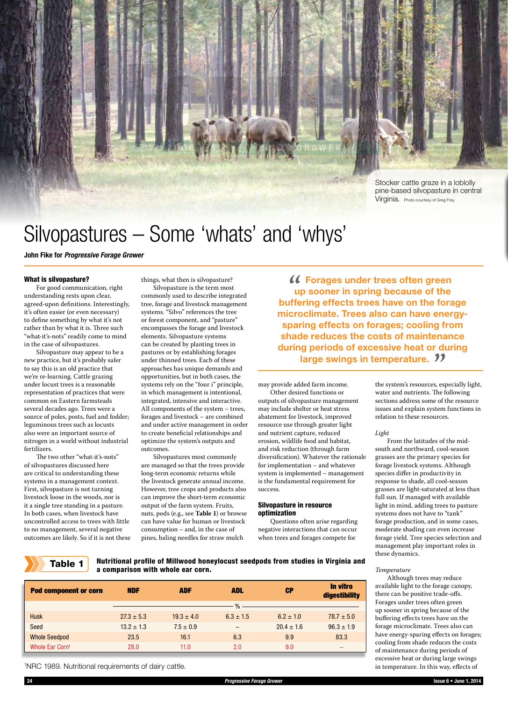

# Silvopastures – Some 'whats' and 'whys'

John Fike for *Progressive Forage Grower*

# What is silvopasture?

For good communication, right understanding rests upon clear, agreed-upon definitions. Interestingly, it's often easier (or even necessary) to define something by what it's not rather than by what it is. Three such "what-it's-nots" readily come to mind in the case of silvopastures.

Silvopasture may appear to be a new practice, but it's probably safer to say this is an old practice that we're re-learning. Cattle grazing under locust trees is a reasonable representation of practices that were common on Eastern farmsteads several decades ago. Trees were a source of poles, posts, fuel and fodder; leguminous trees such as locusts also were an important source of nitrogen in a world without industrial fertilizers.

The two other "what-it's-nots" of silvopastures discussed here are critical to understanding these systems in a management context. First, silvopasture is not turning livestock loose in the woods, nor is it a single tree standing in a pasture. In both cases, when livestock have uncontrolled access to trees with little to no management, several negative outcomes are likely. So if it is not these

things, what then is silvopasture? Silvopasture is the term most commonly used to describe integrated tree, forage and livestock management systems. "Silvo" references the tree or forest component, and "pasture" encompasses the forage and livestock elements. Silvopasture systems can be created by planting trees in pastures or by establishing forages under thinned trees. Each of these approaches has unique demands and opportunities, but in both cases, the systems rely on the "four i" principle, in which management is intentional, integrated, intensive and interactive. All components of the system – trees, forages and livestock – are combined and under active management in order to create beneficial relationships and optimize the system's outputs and outcomes.

Silvopastures most commonly are managed so that the trees provide long-term economic returns while the livestock generate annual income. However, tree crops and products also can improve the short-term economic output of the farm system. Fruits, nuts, pods (e.g., see **Table 1**) or browse can have value for human or livestock consumption – and, in the case of pines, baling needles for straw mulch

 Forages under trees often green up sooner in spring because of the buffering effects trees have on the forage microclimate. Trees also can have energysparing effects on forages; cooling from shade reduces the costs of maintenance during periods of excessive heat or during **arge swings in temperature. ??**<br> **Example 2016** the system's resources, esp

may provide added farm income. Other desired functions or outputs of silvopasture management may include shelter or heat stress abatement for livestock, improved resource use through greater light and nutrient capture, reduced erosion, wildlife food and habitat, and risk reduction (through farm diversification). Whatever the rationale for implementation – and whatever system is implemented – management is the fundamental requirement for success.

## Silvopasture in resource optimization

Questions often arise regarding negative interactions that can occur when trees and forages compete for

the system's resources, especially light, water and nutrients. The following sections address some of the resource issues and explain system functions in relation to these resources.

#### *Light*

*Temperature*

From the latitudes of the midsouth and northward, cool-season grasses are the primary species for forage livestock systems. Although species differ in productivity in response to shade, all cool-season grasses are light-saturated at less than full sun. If managed with available light in mind, adding trees to pasture systems does not have to "tank" forage production, and in some cases, moderate shading can even increase forage yield. Tree species selection and management play important roles in these dynamics.

Although trees may reduce available light to the forage canopy, there can be positive trade-offs. Forages under trees often green up sooner in spring because of the buffering effects trees have on the forage microclimate. Trees also can have energy-sparing effects on forages; cooling from shade reduces the costs of maintenance during periods of excessive heat or during large swings in temperature. In this way, effects of

Table 1 Nutritional profile of Millwood honeylocust seedpods from studies in Virginia and a comparison with whole ear corn.

|               |                                                  |                | digestibility  |
|---------------|--------------------------------------------------|----------------|----------------|
|               | $\%$                                             |                |                |
|               | $6.3 \pm 1.5$                                    | $6.2 \pm 1.0$  | $78.7 \pm 5.0$ |
| $7.5 \pm 0.9$ |                                                  | $20.4 \pm 1.6$ | $96.3 \pm 1.9$ |
| 16.1          | 6.3                                              | 9.9            | 83.3           |
| 11.0          | 2.0                                              | 9.0            | _              |
|               | $27.3 \pm 5.3$<br>$13.2 \pm 1.3$<br>23.5<br>28.0 | $19.3 \pm 4.0$ |                |

1 NRC 1989. Nutritional requirements of dairy cattle.